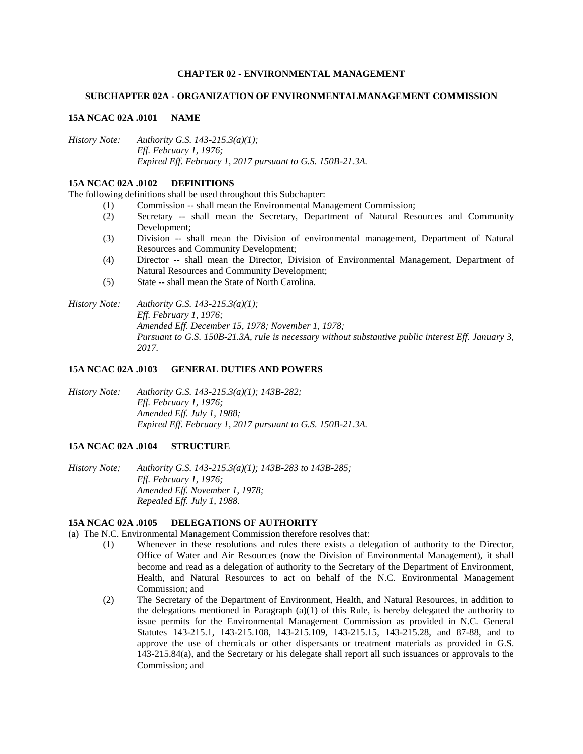### **CHAPTER 02 - ENVIRONMENTAL MANAGEMENT**

#### **SUBCHAPTER 02A - ORGANIZATION OF ENVIRONMENTALMANAGEMENT COMMISSION**

#### **15A NCAC 02A .0101 NAME**

*History Note: Authority G.S. 143-215.3(a)(1); Eff. February 1, 1976; Expired Eff. February 1, 2017 pursuant to G.S. 150B-21.3A.*

### **15A NCAC 02A .0102 DEFINITIONS**

The following definitions shall be used throughout this Subchapter:

- (1) Commission -- shall mean the Environmental Management Commission;
- (2) Secretary -- shall mean the Secretary, Department of Natural Resources and Community Development;
- (3) Division -- shall mean the Division of environmental management, Department of Natural Resources and Community Development;
- (4) Director -- shall mean the Director, Division of Environmental Management, Department of Natural Resources and Community Development;
- (5) State -- shall mean the State of North Carolina.

*History Note: Authority G.S. 143-215.3(a)(1); Eff. February 1, 1976; Amended Eff. December 15, 1978; November 1, 1978; Pursuant to G.S. 150B-21.3A, rule is necessary without substantive public interest Eff. January 3, 2017.*

#### **15A NCAC 02A .0103 GENERAL DUTIES AND POWERS**

*History Note: Authority G.S. 143-215.3(a)(1); 143B-282; Eff. February 1, 1976; Amended Eff. July 1, 1988; Expired Eff. February 1, 2017 pursuant to G.S. 150B-21.3A.*

### **15A NCAC 02A .0104 STRUCTURE**

*History Note: Authority G.S. 143-215.3(a)(1); 143B-283 to 143B-285; Eff. February 1, 1976; Amended Eff. November 1, 1978; Repealed Eff. July 1, 1988.*

#### **15A NCAC 02A .0105 DELEGATIONS OF AUTHORITY**

(a) The N.C. Environmental Management Commission therefore resolves that:

- (1) Whenever in these resolutions and rules there exists a delegation of authority to the Director, Office of Water and Air Resources (now the Division of Environmental Management), it shall become and read as a delegation of authority to the Secretary of the Department of Environment, Health, and Natural Resources to act on behalf of the N.C. Environmental Management Commission; and
- (2) The Secretary of the Department of Environment, Health, and Natural Resources, in addition to the delegations mentioned in Paragraph  $(a)(1)$  of this Rule, is hereby delegated the authority to issue permits for the Environmental Management Commission as provided in N.C. General Statutes 143-215.1, 143-215.108, 143-215.109, 143-215.15, 143-215.28, and 87-88, and to approve the use of chemicals or other dispersants or treatment materials as provided in G.S. 143-215.84(a), and the Secretary or his delegate shall report all such issuances or approvals to the Commission; and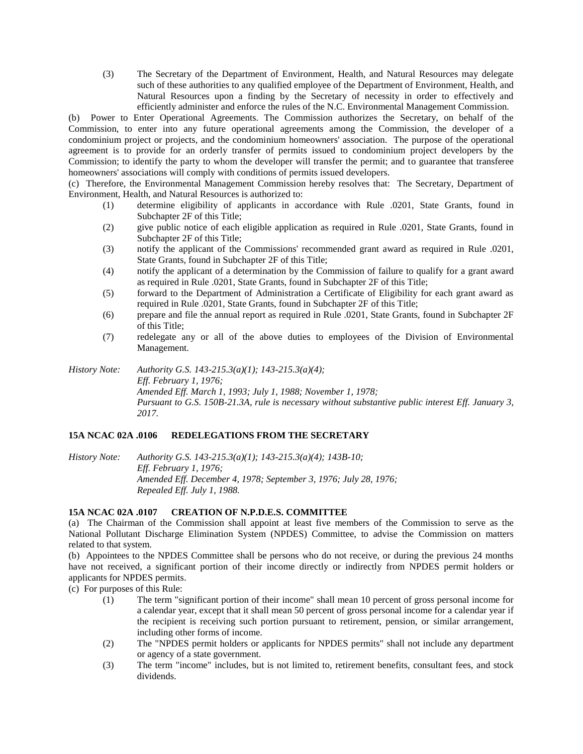(3) The Secretary of the Department of Environment, Health, and Natural Resources may delegate such of these authorities to any qualified employee of the Department of Environment, Health, and Natural Resources upon a finding by the Secretary of necessity in order to effectively and efficiently administer and enforce the rules of the N.C. Environmental Management Commission.

(b) Power to Enter Operational Agreements. The Commission authorizes the Secretary, on behalf of the Commission, to enter into any future operational agreements among the Commission, the developer of a condominium project or projects, and the condominium homeowners' association. The purpose of the operational agreement is to provide for an orderly transfer of permits issued to condominium project developers by the Commission; to identify the party to whom the developer will transfer the permit; and to guarantee that transferee homeowners' associations will comply with conditions of permits issued developers.

(c) Therefore, the Environmental Management Commission hereby resolves that: The Secretary, Department of Environment, Health, and Natural Resources is authorized to:

- (1) determine eligibility of applicants in accordance with Rule .0201, State Grants, found in Subchapter 2F of this Title;
- (2) give public notice of each eligible application as required in Rule .0201, State Grants, found in Subchapter 2F of this Title;
- (3) notify the applicant of the Commissions' recommended grant award as required in Rule .0201, State Grants, found in Subchapter 2F of this Title;
- (4) notify the applicant of a determination by the Commission of failure to qualify for a grant award as required in Rule .0201, State Grants, found in Subchapter 2F of this Title;
- (5) forward to the Department of Administration a Certificate of Eligibility for each grant award as required in Rule .0201, State Grants, found in Subchapter 2F of this Title;
- (6) prepare and file the annual report as required in Rule .0201, State Grants, found in Subchapter 2F of this Title;
- (7) redelegate any or all of the above duties to employees of the Division of Environmental Management.

*History Note: Authority G.S. 143-215.3(a)(1); 143-215.3(a)(4); Eff. February 1, 1976; Amended Eff. March 1, 1993; July 1, 1988; November 1, 1978; Pursuant to G.S. 150B-21.3A, rule is necessary without substantive public interest Eff. January 3, 2017.*

## **15A NCAC 02A .0106 REDELEGATIONS FROM THE SECRETARY**

*History Note: Authority G.S. 143-215.3(a)(1); 143-215.3(a)(4); 143B-10; Eff. February 1, 1976; Amended Eff. December 4, 1978; September 3, 1976; July 28, 1976; Repealed Eff. July 1, 1988.*

#### **15A NCAC 02A .0107 CREATION OF N.P.D.E.S. COMMITTEE**

(a) The Chairman of the Commission shall appoint at least five members of the Commission to serve as the National Pollutant Discharge Elimination System (NPDES) Committee, to advise the Commission on matters related to that system.

(b) Appointees to the NPDES Committee shall be persons who do not receive, or during the previous 24 months have not received, a significant portion of their income directly or indirectly from NPDES permit holders or applicants for NPDES permits.

(c) For purposes of this Rule:

- (1) The term "significant portion of their income" shall mean 10 percent of gross personal income for a calendar year, except that it shall mean 50 percent of gross personal income for a calendar year if the recipient is receiving such portion pursuant to retirement, pension, or similar arrangement, including other forms of income.
- (2) The "NPDES permit holders or applicants for NPDES permits" shall not include any department or agency of a state government.
- (3) The term "income" includes, but is not limited to, retirement benefits, consultant fees, and stock dividends.